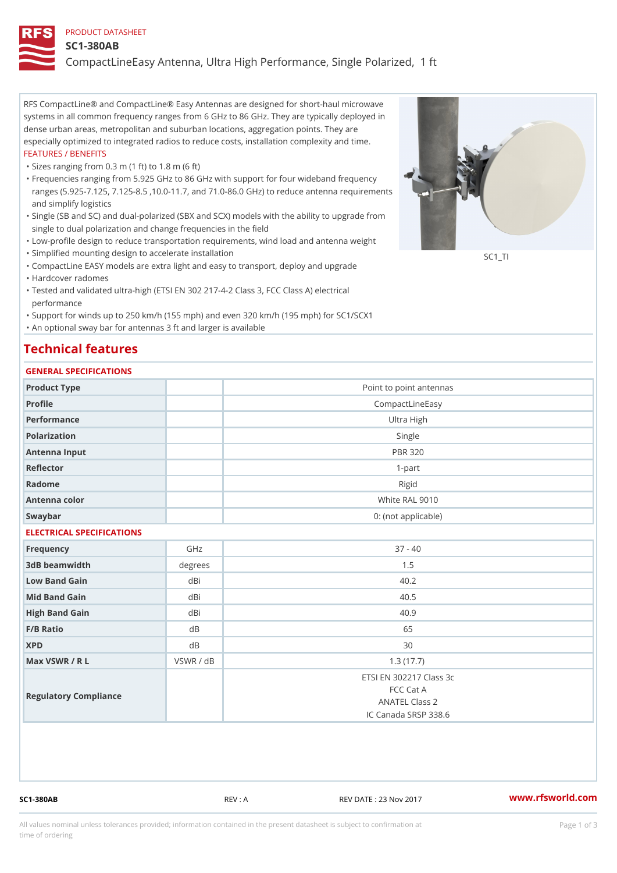#### PRODUCT DATASHEET

#### SC1-380AB

CompactLineEasy Antenna, Ultra High Performance, Single Polarized,

RFS CompactLine® and CompactLine® Easy Antennas are designed for short-haul microwave systems in all common frequency ranges from 6 GHz to 86 GHz. They are typically deployed in dense urban areas, metropolitan and suburban locations, aggregation points. They are especially optimized to integrated radios to reduce costs, installation complexity and time. FEATURES / BENEFITS

"Sizes ranging from 0.3 m (1 ft) to 1.8 m (6 ft)

- Frequencies ranging from 5.925 GHz to 86 GHz with support for four wideband frequency " ranges (5.925-7.125, 7.125-8.5 ,10.0-11.7, and 71.0-86.0 GHz) to reduce antenna requirements and simplify logistics
- Single (SB and SC) and dual-polarized (SBX and SCX) models with the ability to upgrade from " single to dual polarization and change frequencies in the field
- "Low-profile design to reduce transportation requirements, wind load and antenna weight
- "Simplified mounting design to accelerate installation

 "CompactLine EASY models are extra light and easy to transport, deploy and upgrade "Hardcover radomes

Tested and validated ultra-high (ETSI EN 302 217-4-2 Class 3, FCC Class A) electrical " performance

 "Support for winds up to 250 km/h (155 mph) and even 320 km/h (195 mph) for SC1/SCX1 "An optional sway bar for antennas 3 ft and larger is available

## Technical features

#### GENERAL SPECIFICATIONS

| GENERAL SPECIFICATIONS    |                |                                                                                       |  |  |  |  |
|---------------------------|----------------|---------------------------------------------------------------------------------------|--|--|--|--|
| Product Type              |                | Point to point antennas                                                               |  |  |  |  |
| Profile                   |                | CompactLineEasy                                                                       |  |  |  |  |
| Performance               |                | Ultra High                                                                            |  |  |  |  |
| Polarization              | Single         |                                                                                       |  |  |  |  |
| Antenna Input             | <b>PBR 320</b> |                                                                                       |  |  |  |  |
| Reflector                 |                | $1 - p$ art                                                                           |  |  |  |  |
| Radome                    |                | Rigid                                                                                 |  |  |  |  |
| Antenna color             |                | White RAL 9010                                                                        |  |  |  |  |
| Swaybar                   |                | 0: (not applicable)                                                                   |  |  |  |  |
| ELECTRICAL SPECIFICATIONS |                |                                                                                       |  |  |  |  |
| Frequency                 | GHz            | $37 - 40$                                                                             |  |  |  |  |
| 3dB beamwidth             | degree         | 1.5                                                                                   |  |  |  |  |
| Low Band Gain             | dBi            | 40.2                                                                                  |  |  |  |  |
| Mid Band Gain             | dBi            | 40.5                                                                                  |  |  |  |  |
| High Band Gain            | dBi            | 40.9                                                                                  |  |  |  |  |
| F/B Ratio                 | d B            | 65                                                                                    |  |  |  |  |
| <b>XPD</b>                | d B            | 30                                                                                    |  |  |  |  |
| Max VSWR / R L            | VSWR / dB      | 1.3(17.7)                                                                             |  |  |  |  |
| Regulatory Compliance     |                | ETSI EN 302217 Class 3c<br>FCC Cat A<br><b>ANATEL Class 2</b><br>IC Canada SRSP 338.6 |  |  |  |  |

SC1-380AB REV : A REV DATE : 23 Nov 2017 [www.](https://www.rfsworld.com)rfsworld.com

SC<sub>1</sub>TI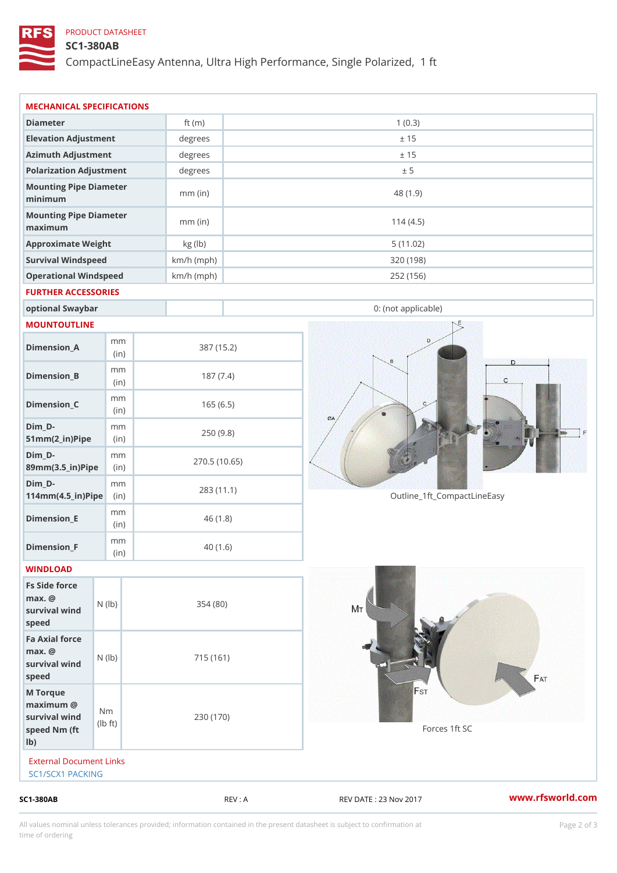## PRODUCT DATASHEET

# SC1-380AB

CompactLineEasy Antenna, Ultra High Performance, Single Polarized,

| (in)<br>m m<br>$\vert$ (in)<br>survival $w \nmid N$ ( $ b$ )<br>survival wind (1b)<br>$\dagger$ t)<br>External Document Links<br>SC1/SCX1 PACKING | 354 (80)<br>715 (161)<br>230 (170)                                                         | 40(1.6)                                                                                                                      | Forces 1ft SC                                                                                                                                            |                                                        |
|---------------------------------------------------------------------------------------------------------------------------------------------------|--------------------------------------------------------------------------------------------|------------------------------------------------------------------------------------------------------------------------------|----------------------------------------------------------------------------------------------------------------------------------------------------------|--------------------------------------------------------|
|                                                                                                                                                   |                                                                                            |                                                                                                                              |                                                                                                                                                          |                                                        |
|                                                                                                                                                   |                                                                                            |                                                                                                                              |                                                                                                                                                          |                                                        |
|                                                                                                                                                   |                                                                                            |                                                                                                                              |                                                                                                                                                          |                                                        |
|                                                                                                                                                   |                                                                                            |                                                                                                                              |                                                                                                                                                          |                                                        |
|                                                                                                                                                   |                                                                                            |                                                                                                                              |                                                                                                                                                          |                                                        |
|                                                                                                                                                   |                                                                                            |                                                                                                                              |                                                                                                                                                          |                                                        |
| m m                                                                                                                                               |                                                                                            |                                                                                                                              |                                                                                                                                                          |                                                        |
| m m<br>$114$ m m (4.5_ir) $\sqrt{$ imp $\approx$                                                                                                  |                                                                                            |                                                                                                                              | Outline_1ft_CompactLineEasy                                                                                                                              |                                                        |
| m m<br>89mm (3.5_in) Pi(pine)                                                                                                                     |                                                                                            |                                                                                                                              |                                                                                                                                                          |                                                        |
| m m<br>$51mm(2_in)Pip@in$                                                                                                                         |                                                                                            |                                                                                                                              |                                                                                                                                                          |                                                        |
| m m<br>(in)                                                                                                                                       |                                                                                            |                                                                                                                              |                                                                                                                                                          |                                                        |
| m m<br>(in)                                                                                                                                       |                                                                                            |                                                                                                                              |                                                                                                                                                          |                                                        |
| m m<br>(in)                                                                                                                                       |                                                                                            |                                                                                                                              |                                                                                                                                                          |                                                        |
|                                                                                                                                                   |                                                                                            |                                                                                                                              |                                                                                                                                                          |                                                        |
| optional Swaybar                                                                                                                                  |                                                                                            |                                                                                                                              | 0: (not applicable)                                                                                                                                      |                                                        |
|                                                                                                                                                   |                                                                                            |                                                                                                                              |                                                                                                                                                          |                                                        |
| Operational Windspeed                                                                                                                             |                                                                                            |                                                                                                                              | 252 (156)                                                                                                                                                |                                                        |
| Survival Windspeed                                                                                                                                |                                                                                            |                                                                                                                              |                                                                                                                                                          |                                                        |
|                                                                                                                                                   | $mm$ (in)                                                                                  |                                                                                                                              | 114(4.5)                                                                                                                                                 |                                                        |
|                                                                                                                                                   | $mm$ (in)                                                                                  |                                                                                                                              | 48 (1.9)                                                                                                                                                 |                                                        |
|                                                                                                                                                   |                                                                                            |                                                                                                                              |                                                                                                                                                          |                                                        |
|                                                                                                                                                   |                                                                                            |                                                                                                                              |                                                                                                                                                          |                                                        |
|                                                                                                                                                   |                                                                                            |                                                                                                                              |                                                                                                                                                          |                                                        |
|                                                                                                                                                   |                                                                                            |                                                                                                                              |                                                                                                                                                          |                                                        |
|                                                                                                                                                   | Elevation Adjustment<br>Azimuth Adjustment<br>Mounting Pipe Diameter<br>Approximate Weight | MECHANICAL SPECIFICATIONS<br>ft $(m)$<br>Polarization Adjustment<br>Mounting Pipe Diameter<br>kg (lb)<br>FURTHER ACCESSORIES | degrees<br>degrees<br>degrees<br>$km/h$ (mph)<br>$km/h$ (mph)<br>387 (15.2)<br>187(7.4)<br>165(6.5)<br>250(9.8)<br>270.5(10.65)<br>283 (11.1)<br>46(1.8) | 1(0.3)<br>± 15<br>± 15<br>± 5<br>5(11.02)<br>320 (198) |

All values nominal unless tolerances provided; information contained in the present datasheet is subject to Pcapgelio an atio time of ordering